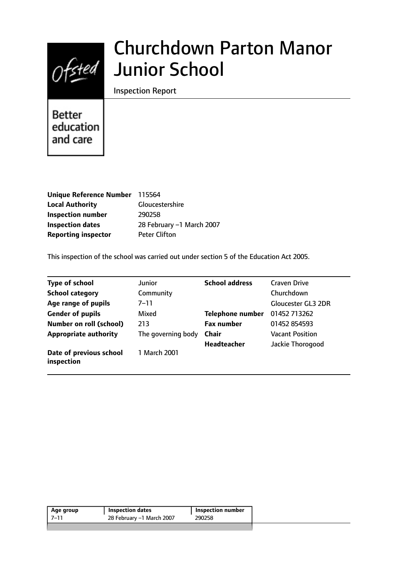

# Churchdown Parton Manor Junior School

Inspection Report

**Better** education and care

| Unique Reference Number 115564 |                           |
|--------------------------------|---------------------------|
| <b>Local Authority</b>         | Gloucestershire           |
| <b>Inspection number</b>       | 290258                    |
| <b>Inspection dates</b>        | 28 February -1 March 2007 |
| <b>Reporting inspector</b>     | <b>Peter Clifton</b>      |

This inspection of the school was carried out under section 5 of the Education Act 2005.

| <b>Type of school</b>                 | Junior             | <b>School address</b>   | <b>Craven Drive</b>       |
|---------------------------------------|--------------------|-------------------------|---------------------------|
| <b>School category</b>                | Community          |                         | Churchdown                |
| Age range of pupils                   | 7–11               |                         | <b>Gloucester GL3 2DR</b> |
| <b>Gender of pupils</b>               | Mixed              | <b>Telephone number</b> | 01452 713262              |
| Number on roll (school)               | 213                | <b>Fax number</b>       | 01452 854593              |
| <b>Appropriate authority</b>          | The governing body | <b>Chair</b>            | <b>Vacant Position</b>    |
|                                       |                    | <b>Headteacher</b>      | Jackie Thorogood          |
| Date of previous school<br>inspection | 1 March 2001       |                         |                           |

| Age group | <b>Inspection dates</b>   | Inspection number |
|-----------|---------------------------|-------------------|
| 7–11      | 28 February –1 March 2007 | 290258            |
|           |                           |                   |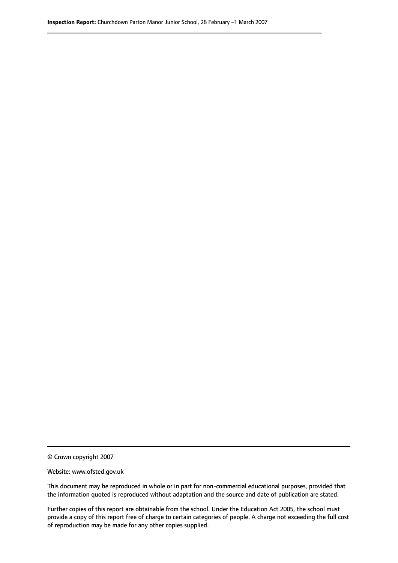© Crown copyright 2007

Website: www.ofsted.gov.uk

This document may be reproduced in whole or in part for non-commercial educational purposes, provided that the information quoted is reproduced without adaptation and the source and date of publication are stated.

Further copies of this report are obtainable from the school. Under the Education Act 2005, the school must provide a copy of this report free of charge to certain categories of people. A charge not exceeding the full cost of reproduction may be made for any other copies supplied.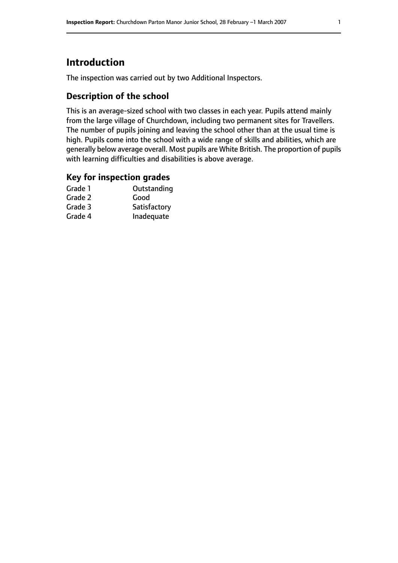# **Introduction**

The inspection was carried out by two Additional Inspectors.

## **Description of the school**

This is an average-sized school with two classes in each year. Pupils attend mainly from the large village of Churchdown, including two permanent sites for Travellers. The number of pupils joining and leaving the school other than at the usual time is high. Pupils come into the school with a wide range of skills and abilities, which are generally below average overall. Most pupils are White British. The proportion of pupils with learning difficulties and disabilities is above average.

## **Key for inspection grades**

| Grade 1 | Outstanding  |
|---------|--------------|
| Grade 2 | Good         |
| Grade 3 | Satisfactory |
| Grade 4 | Inadequate   |
|         |              |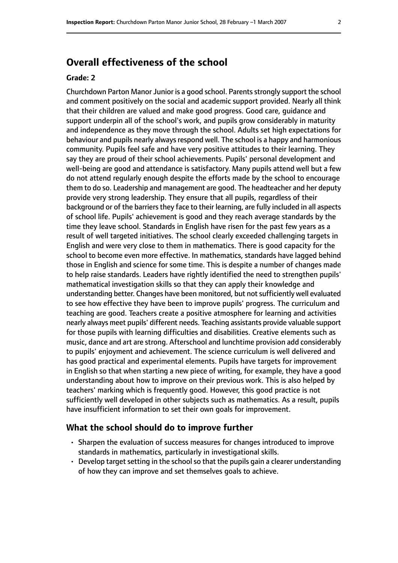# **Overall effectiveness of the school**

#### **Grade: 2**

Churchdown Parton Manor Junior is a good school. Parents strongly support the school and comment positively on the social and academic support provided. Nearly all think that their children are valued and make good progress. Good care, guidance and support underpin all of the school's work, and pupils grow considerably in maturity and independence as they move through the school. Adults set high expectations for behaviour and pupils nearly always respond well. The school is a happy and harmonious community. Pupils feel safe and have very positive attitudes to their learning. They say they are proud of their school achievements. Pupils' personal development and well-being are good and attendance is satisfactory. Many pupils attend well but a few do not attend regularly enough despite the efforts made by the school to encourage them to do so. Leadership and management are good. The headteacher and her deputy provide very strong leadership. They ensure that all pupils, regardless of their background or of the barriers they face to their learning, are fully included in all aspects of school life. Pupils' achievement is good and they reach average standards by the time they leave school. Standards in English have risen for the past few years as a result of well targeted initiatives. The school clearly exceeded challenging targets in English and were very close to them in mathematics. There is good capacity for the school to become even more effective. In mathematics, standards have lagged behind those in English and science for some time. This is despite a number of changes made to help raise standards. Leaders have rightly identified the need to strengthen pupils' mathematical investigation skills so that they can apply their knowledge and understanding better. Changes have been monitored, but not sufficiently well evaluated to see how effective they have been to improve pupils' progress. The curriculum and teaching are good. Teachers create a positive atmosphere for learning and activities nearly always meet pupils' different needs. Teaching assistants provide valuable support for those pupils with learning difficulties and disabilities. Creative elements such as music, dance and art are strong. Afterschool and lunchtime provision add considerably to pupils' enjoyment and achievement. The science curriculum is well delivered and has good practical and experimental elements. Pupils have targets for improvement in English so that when starting a new piece of writing, for example, they have a good understanding about how to improve on their previous work. This is also helped by teachers' marking which is frequently good. However, this good practice is not sufficiently well developed in other subjects such as mathematics. As a result, pupils have insufficient information to set their own goals for improvement.

#### **What the school should do to improve further**

- Sharpen the evaluation of success measures for changes introduced to improve standards in mathematics, particularly in investigational skills.
- Develop target setting in the school so that the pupils gain a clearer understanding of how they can improve and set themselves goals to achieve.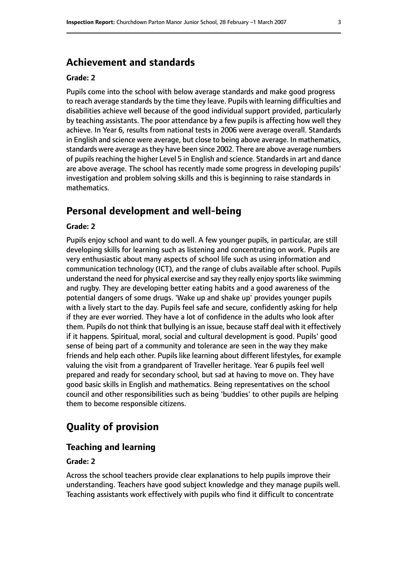# **Achievement and standards**

#### **Grade: 2**

Pupils come into the school with below average standards and make good progress to reach average standards by the time they leave. Pupils with learning difficulties and disabilities achieve well because of the good individual support provided, particularly by teaching assistants. The poor attendance by a few pupils is affecting how well they achieve. In Year 6, results from national tests in 2006 were average overall. Standards in English and science were average, but close to being above average. In mathematics, standards were average asthey have been since 2002. There are above average numbers of pupils reaching the higher Level 5 in English and science. Standards in art and dance are above average. The school has recently made some progress in developing pupils' investigation and problem solving skills and this is beginning to raise standards in mathematics.

# **Personal development and well-being**

#### **Grade: 2**

Pupils enjoy school and want to do well. A few younger pupils, in particular, are still developing skills for learning such as listening and concentrating on work. Pupils are very enthusiastic about many aspects of school life such as using information and communication technology (ICT), and the range of clubs available after school. Pupils understand the need for physical exercise and say they really enjoy sports like swimming and rugby. They are developing better eating habits and a good awareness of the potential dangers of some drugs. 'Wake up and shake up' provides younger pupils with a lively start to the day. Pupils feel safe and secure, confidently asking for help if they are ever worried. They have a lot of confidence in the adults who look after them. Pupils do not think that bullying is an issue, because staff deal with it effectively if it happens. Spiritual, moral, social and cultural development is good. Pupils' good sense of being part of a community and tolerance are seen in the way they make friends and help each other. Pupils like learning about different lifestyles, for example valuing the visit from a grandparent of Traveller heritage. Year 6 pupils feel well prepared and ready for secondary school, but sad at having to move on. They have good basic skills in English and mathematics. Being representatives on the school council and other responsibilities such as being 'buddies' to other pupils are helping them to become responsible citizens.

# **Quality of provision**

#### **Teaching and learning**

#### **Grade: 2**

Across the school teachers provide clear explanations to help pupils improve their understanding. Teachers have good subject knowledge and they manage pupils well. Teaching assistants work effectively with pupils who find it difficult to concentrate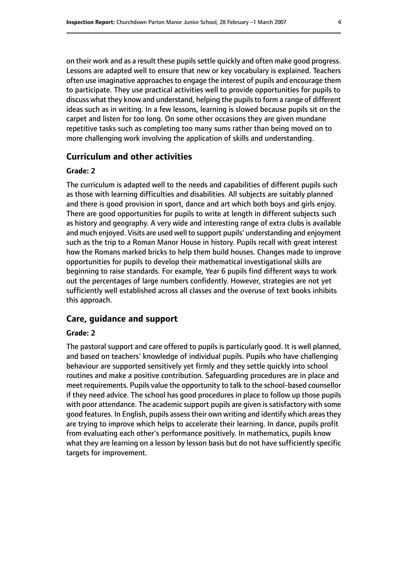on their work and as a result these pupils settle quickly and often make good progress. Lessons are adapted well to ensure that new or key vocabulary is explained. Teachers often use imaginative approaches to engage the interest of pupils and encourage them to participate. They use practical activities well to provide opportunities for pupils to discuss what they know and understand, helping the pupils to form a range of different ideas such as in writing. In a few lessons, learning is slowed because pupils sit on the carpet and listen for too long. On some other occasions they are given mundane repetitive tasks such as completing too many sums rather than being moved on to more challenging work involving the application of skills and understanding.

## **Curriculum and other activities**

#### **Grade: 2**

The curriculum is adapted well to the needs and capabilities of different pupils such as those with learning difficulties and disabilities. All subjects are suitably planned and there is good provision in sport, dance and art which both boys and girls enjoy. There are good opportunities for pupils to write at length in different subjects such as history and geography. A very wide and interesting range of extra clubs is available and much enjoyed. Visits are used well to support pupils' understanding and enjoyment such as the trip to a Roman Manor House in history. Pupils recall with great interest how the Romans marked bricks to help them build houses. Changes made to improve opportunities for pupils to develop their mathematical investigational skills are beginning to raise standards. For example, Year 6 pupils find different ways to work out the percentages of large numbers confidently. However, strategies are not yet sufficiently well established across all classes and the overuse of text books inhibits this approach.

#### **Care, guidance and support**

#### **Grade: 2**

The pastoral support and care offered to pupils is particularly good. It is well planned, and based on teachers' knowledge of individual pupils. Pupils who have challenging behaviour are supported sensitively yet firmly and they settle quickly into school routines and make a positive contribution. Safeguarding procedures are in place and meet requirements. Pupils value the opportunity to talk to the school-based counsellor if they need advice. The school has good procedures in place to follow up those pupils with poor attendance. The academic support pupils are given is satisfactory with some good features. In English, pupils assess their own writing and identify which areas they are trying to improve which helps to accelerate their learning. In dance, pupils profit from evaluating each other's performance positively. In mathematics, pupils know what they are learning on a lesson by lesson basis but do not have sufficiently specific targets for improvement.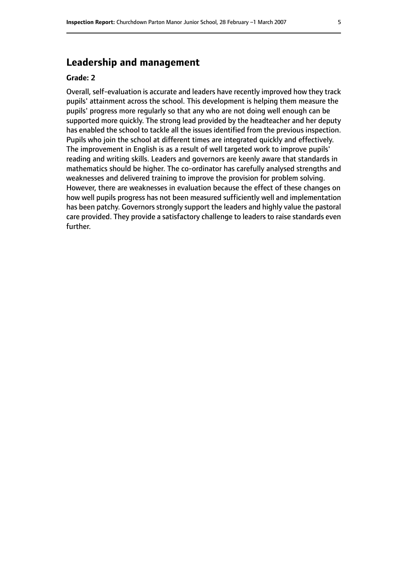# **Leadership and management**

#### **Grade: 2**

Overall, self-evaluation is accurate and leaders have recently improved how they track pupils' attainment across the school. This development is helping them measure the pupils' progress more regularly so that any who are not doing well enough can be supported more quickly. The strong lead provided by the headteacher and her deputy has enabled the school to tackle all the issues identified from the previous inspection. Pupils who join the school at different times are integrated quickly and effectively. The improvement in English is as a result of well targeted work to improve pupils' reading and writing skills. Leaders and governors are keenly aware that standards in mathematics should be higher. The co-ordinator has carefully analysed strengths and weaknesses and delivered training to improve the provision for problem solving. However, there are weaknesses in evaluation because the effect of these changes on how well pupils progress has not been measured sufficiently well and implementation has been patchy. Governors strongly support the leaders and highly value the pastoral care provided. They provide a satisfactory challenge to leaders to raise standards even further.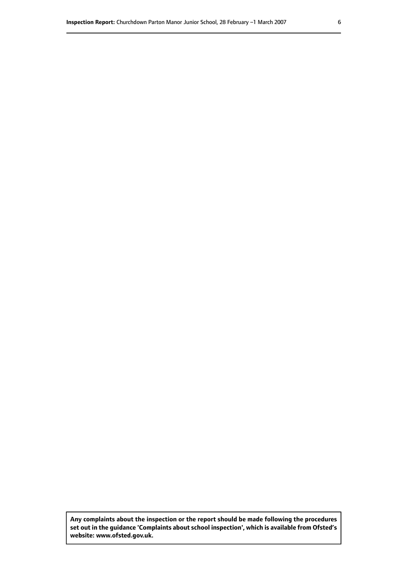**Any complaints about the inspection or the report should be made following the procedures set out inthe guidance 'Complaints about school inspection', whichis available from Ofsted's website: www.ofsted.gov.uk.**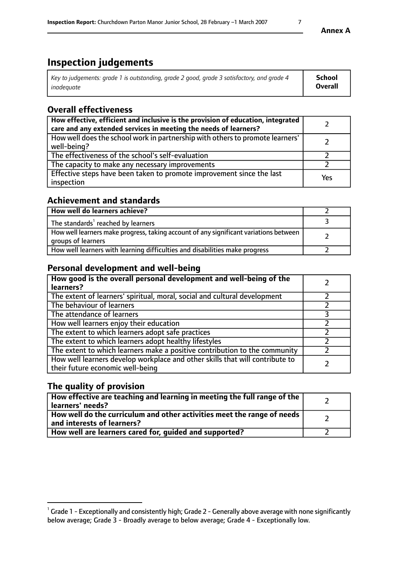# **Inspection judgements**

| Key to judgements: grade 1 is outstanding, grade 2 good, grade 3 satisfactory, and grade 4 | School         |
|--------------------------------------------------------------------------------------------|----------------|
| inadeauate                                                                                 | <b>Overall</b> |

# **Overall effectiveness**

| How effective, efficient and inclusive is the provision of education, integrated<br>care and any extended services in meeting the needs of learners? |     |
|------------------------------------------------------------------------------------------------------------------------------------------------------|-----|
| How well does the school work in partnership with others to promote learners'<br>well-being?                                                         |     |
| The effectiveness of the school's self-evaluation                                                                                                    |     |
| The capacity to make any necessary improvements                                                                                                      |     |
| Effective steps have been taken to promote improvement since the last<br>inspection                                                                  | Yes |

## **Achievement and standards**

| How well do learners achieve?                                                                               |  |
|-------------------------------------------------------------------------------------------------------------|--|
| The standards <sup>1</sup> reached by learners                                                              |  |
| How well learners make progress, taking account of any significant variations between<br>groups of learners |  |
| How well learners with learning difficulties and disabilities make progress                                 |  |

# **Personal development and well-being**

| How good is the overall personal development and well-being of the<br>learners?                                  |  |
|------------------------------------------------------------------------------------------------------------------|--|
| The extent of learners' spiritual, moral, social and cultural development                                        |  |
| The behaviour of learners                                                                                        |  |
| The attendance of learners                                                                                       |  |
| How well learners enjoy their education                                                                          |  |
| The extent to which learners adopt safe practices                                                                |  |
| The extent to which learners adopt healthy lifestyles                                                            |  |
| The extent to which learners make a positive contribution to the community                                       |  |
| How well learners develop workplace and other skills that will contribute to<br>their future economic well-being |  |

# **The quality of provision**

| How effective are teaching and learning in meeting the full range of the<br>learners' needs?          |  |
|-------------------------------------------------------------------------------------------------------|--|
| How well do the curriculum and other activities meet the range of needs<br>and interests of learners? |  |
| How well are learners cared for, guided and supported?                                                |  |

 $^1$  Grade 1 - Exceptionally and consistently high; Grade 2 - Generally above average with none significantly below average; Grade 3 - Broadly average to below average; Grade 4 - Exceptionally low.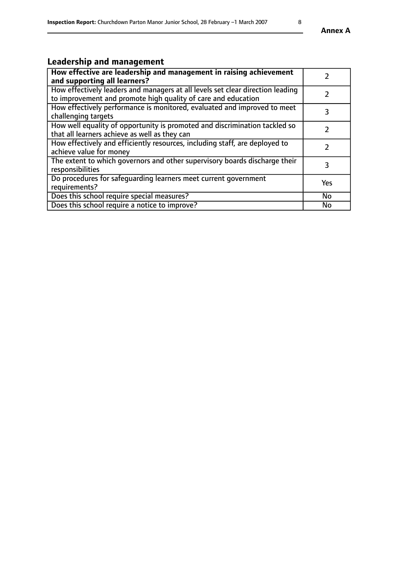# **Leadership and management**

| How effective are leadership and management in raising achievement             | $\mathcal{P}$ |
|--------------------------------------------------------------------------------|---------------|
| and supporting all learners?                                                   |               |
| How effectively leaders and managers at all levels set clear direction leading |               |
| to improvement and promote high quality of care and education                  |               |
| How effectively performance is monitored, evaluated and improved to meet       | 3             |
| challenging targets                                                            |               |
| How well equality of opportunity is promoted and discrimination tackled so     |               |
| that all learners achieve as well as they can                                  |               |
| How effectively and efficiently resources, including staff, are deployed to    | $\mathcal{P}$ |
| achieve value for money                                                        |               |
| The extent to which governors and other supervisory boards discharge their     | 3             |
| responsibilities                                                               |               |
| Do procedures for safequarding learners meet current government                | Yes           |
| requirements?                                                                  |               |
| Does this school require special measures?                                     | No            |
| Does this school require a notice to improve?                                  | <b>No</b>     |